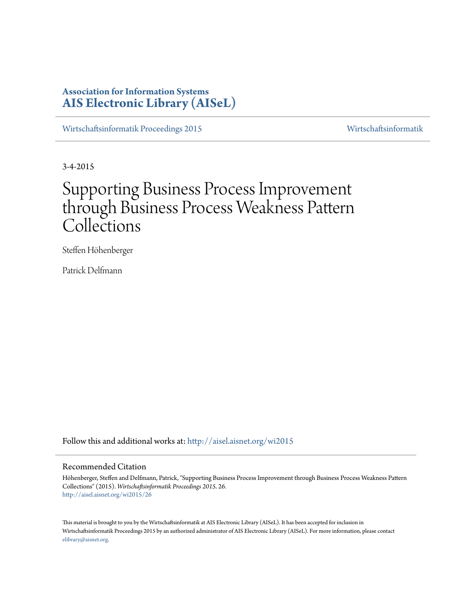# **Association for Information Systems [AIS Electronic Library \(AISeL\)](http://aisel.aisnet.org?utm_source=aisel.aisnet.org%2Fwi2015%2F26&utm_medium=PDF&utm_campaign=PDFCoverPages)**

[Wirtschaftsinformatik Proceedings 2015](http://aisel.aisnet.org/wi2015?utm_source=aisel.aisnet.org%2Fwi2015%2F26&utm_medium=PDF&utm_campaign=PDFCoverPages) [Wirtschaftsinformatik](http://aisel.aisnet.org/wi?utm_source=aisel.aisnet.org%2Fwi2015%2F26&utm_medium=PDF&utm_campaign=PDFCoverPages)

3-4-2015

# Supporting Business Process Improvement through Business Process Weakness Pattern Collections

Steffen Höhenberger

Patrick Delfmann

Follow this and additional works at: [http://aisel.aisnet.org/wi2015](http://aisel.aisnet.org/wi2015?utm_source=aisel.aisnet.org%2Fwi2015%2F26&utm_medium=PDF&utm_campaign=PDFCoverPages)

## Recommended Citation

Höhenberger, Steffen and Delfmann, Patrick, "Supporting Business Process Improvement through Business Process Weakness Pattern Collections" (2015). *Wirtschaftsinformatik Proceedings 2015*. 26. [http://aisel.aisnet.org/wi2015/26](http://aisel.aisnet.org/wi2015/26?utm_source=aisel.aisnet.org%2Fwi2015%2F26&utm_medium=PDF&utm_campaign=PDFCoverPages)

This material is brought to you by the Wirtschaftsinformatik at AIS Electronic Library (AISeL). It has been accepted for inclusion in Wirtschaftsinformatik Proceedings 2015 by an authorized administrator of AIS Electronic Library (AISeL). For more information, please contact [elibrary@aisnet.org.](mailto:elibrary@aisnet.org%3E)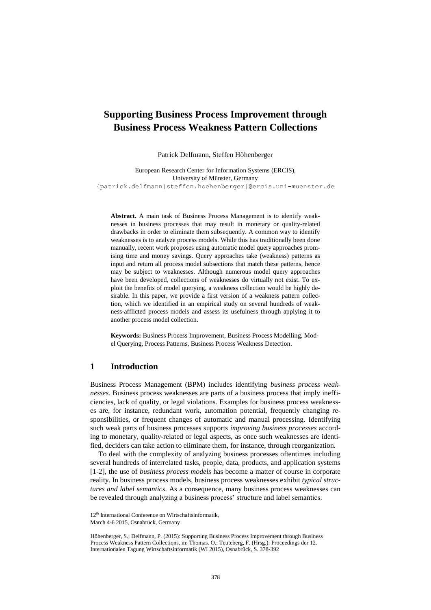# **Supporting Business Process Improvement through Business Process Weakness Pattern Collections**

Patrick Delfmann, Steffen Höhenberger

European Research Center for Information Systems (ERCIS), University of Münster, Germany {patrick.delfmann|steffen.hoehenberger}@ercis.uni-muenster.de

**Abstract.** A main task of Business Process Management is to identify weaknesses in business processes that may result in monetary or quality-related drawbacks in order to eliminate them subsequently. A common way to identify weaknesses is to analyze process models. While this has traditionally been done manually, recent work proposes using automatic model query approaches promising time and money savings. Query approaches take (weakness) patterns as input and return all process model subsections that match these patterns, hence may be subject to weaknesses. Although numerous model query approaches have been developed, collections of weaknesses do virtually not exist. To exploit the benefits of model querying, a weakness collection would be highly desirable. In this paper, we provide a first version of a weakness pattern collection, which we identified in an empirical study on several hundreds of weakness-afflicted process models and assess its usefulness through applying it to another process model collection.

**Keywords:** Business Process Improvement, Business Process Modelling, Model Querying, Process Patterns, Business Process Weakness Detection.

#### **1 Introduction**

Business Process Management (BPM) includes identifying *business process weaknesses*. Business process weaknesses are parts of a business process that imply inefficiencies, lack of quality, or legal violations. Examples for business process weaknesses are, for instance, redundant work, automation potential, frequently changing responsibilities, or frequent changes of automatic and manual processing. Identifying such weak parts of business processes supports *improving business processes* according to monetary, quality-related or legal aspects, as once such weaknesses are identified, deciders can take action to eliminate them, for instance, through reorganization.

To deal with the complexity of analyzing business processes oftentimes including several hundreds of interrelated tasks, people, data, products, and application systems [1-2], the use of *business process models* has become a matter of course in corporate reality. In business process models, business process weaknesses exhibit *typical structures and label semantics*. As a consequence, many business process weaknesses can be revealed through analyzing a business process' structure and label semantics.

<sup>12&</sup>lt;sup>th</sup> International Conference on Wirtschaftsinformatik,

March 4-6 2015, Osnabrück, Germany

Höhenberger, S.; Delfmann, P. (2015): Supporting Business Process Improvement through Business Process Weakness Pattern Collections, in: Thomas. O.; Teuteberg, F. (Hrsg.): Proceedings der 12. Internationalen Tagung Wirtschaftsinformatik (WI 2015), Osnabrück, S. 378-392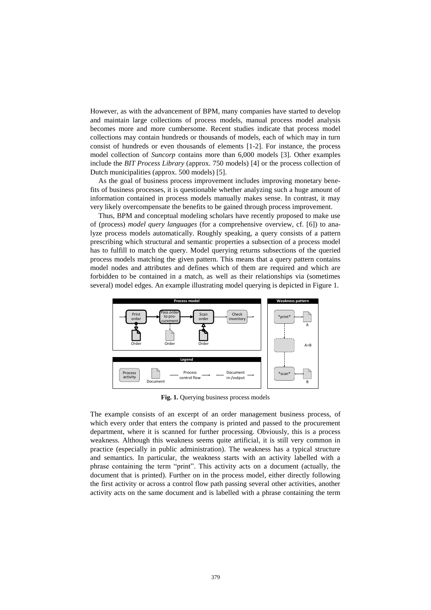However, as with the advancement of BPM, many companies have started to develop and maintain large collections of process models, manual process model analysis becomes more and more cumbersome. Recent studies indicate that process model collections may contain hundreds or thousands of models, each of which may in turn consist of hundreds or even thousands of elements [1-2]. For instance, the process model collection of *Suncorp* contains more than 6,000 models [3]. Other examples include the *BIT Process Library* (approx. 750 models) [4] or the process collection of Dutch municipalities (approx. 500 models) [5].

As the goal of business process improvement includes improving monetary benefits of business processes, it is questionable whether analyzing such a huge amount of information contained in process models manually makes sense. In contrast, it may very likely overcompensate the benefits to be gained through process improvement.

Thus, BPM and conceptual modeling scholars have recently proposed to make use of (process) *model query languages* (for a comprehensive overview, cf. [6]) to analyze process models automatically. Roughly speaking, a query consists of a pattern prescribing which structural and semantic properties a subsection of a process model has to fulfill to match the query. Model querying returns subsections of the queried process models matching the given pattern. This means that a query pattern contains model nodes and attributes and defines which of them are required and which are forbidden to be contained in a match, as well as their relationships via (sometimes several) model edges. An example illustrating model querying is depicted in Figure 1.



**Fig. 1.** Querying business process models

The example consists of an excerpt of an order management business process, of which every order that enters the company is printed and passed to the procurement department, where it is scanned for further processing. Obviously, this is a process weakness. Although this weakness seems quite artificial, it is still very common in practice (especially in public administration). The weakness has a typical structure and semantics. In particular, the weakness starts with an activity labelled with a phrase containing the term "print". This activity acts on a document (actually, the document that is printed). Further on in the process model, either directly following the first activity or across a control flow path passing several other activities, another activity acts on the same document and is labelled with a phrase containing the term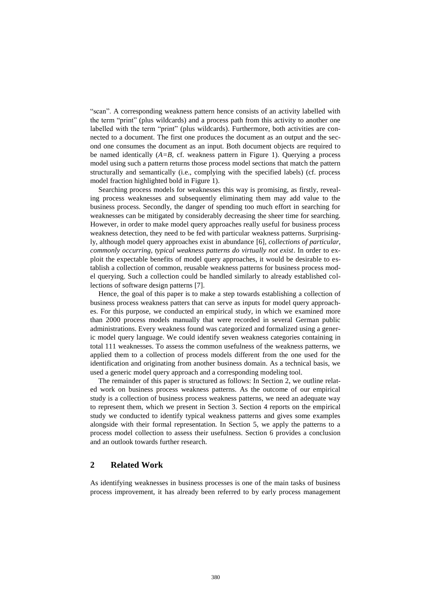"scan". A corresponding weakness pattern hence consists of an activity labelled with the term "print" (plus wildcards) and a process path from this activity to another one labelled with the term "print" (plus wildcards). Furthermore, both activities are connected to a document. The first one produces the document as an output and the second one consumes the document as an input. Both document objects are required to be named identically (*A=B*, cf. weakness pattern in Figure 1). Querying a process model using such a pattern returns those process model sections that match the pattern structurally and semantically (i.e., complying with the specified labels) (cf. process model fraction highlighted bold in Figure 1).

Searching process models for weaknesses this way is promising, as firstly, revealing process weaknesses and subsequently eliminating them may add value to the business process. Secondly, the danger of spending too much effort in searching for weaknesses can be mitigated by considerably decreasing the sheer time for searching. However, in order to make model query approaches really useful for business process weakness detection, they need to be fed with particular weakness patterns. Surprisingly, although model query approaches exist in abundance [6], *collections of particular, commonly occurring, typical weakness patterns do virtually not exist*. In order to exploit the expectable benefits of model query approaches, it would be desirable to establish a collection of common, reusable weakness patterns for business process model querying. Such a collection could be handled similarly to already established collections of software design patterns [7].

Hence, the goal of this paper is to make a step towards establishing a collection of business process weakness patters that can serve as inputs for model query approaches. For this purpose, we conducted an empirical study, in which we examined more than 2000 process models manually that were recorded in several German public administrations. Every weakness found was categorized and formalized using a generic model query language. We could identify seven weakness categories containing in total 111 weaknesses. To assess the common usefulness of the weakness patterns, we applied them to a collection of process models different from the one used for the identification and originating from another business domain. As a technical basis, we used a generic model query approach and a corresponding modeling tool.

The remainder of this paper is structured as follows: In Section 2, we outline related work on business process weakness patterns. As the outcome of our empirical study is a collection of business process weakness patterns, we need an adequate way to represent them, which we present in Section 3. Section 4 reports on the empirical study we conducted to identify typical weakness patterns and gives some examples alongside with their formal representation. In Section 5, we apply the patterns to a process model collection to assess their usefulness. Section 6 provides a conclusion and an outlook towards further research.

## **2 Related Work**

As identifying weaknesses in business processes is one of the main tasks of business process improvement, it has already been referred to by early process management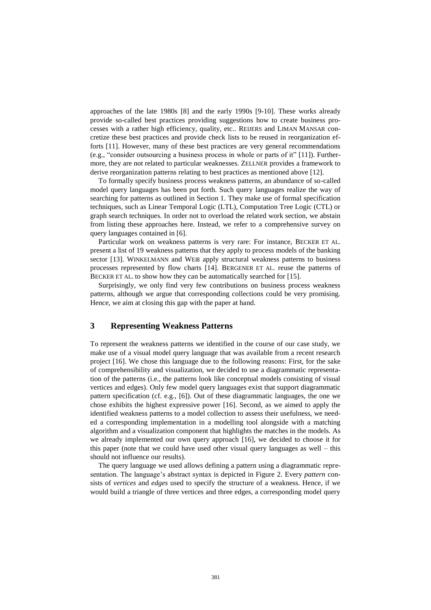approaches of the late 1980s [8] and the early 1990s [9-10]. These works already provide so-called best practices providing suggestions how to create business processes with a rather high efficiency, quality, etc.. REIJERS and LIMAN MANSAR concretize these best practices and provide check lists to be reused in reorganization efforts [11]. However, many of these best practices are very general recommendations (e.g., "consider outsourcing a business process in whole or parts of it" [11]). Furthermore, they are not related to particular weaknesses. ZELLNER provides a framework to derive reorganization patterns relating to best practices as mentioned above [12].

To formally specify business process weakness patterns, an abundance of so-called model query languages has been put forth. Such query languages realize the way of searching for patterns as outlined in Section 1. They make use of formal specification techniques, such as Linear Temporal Logic (LTL), Computation Tree Logic (CTL) or graph search techniques. In order not to overload the related work section, we abstain from listing these approaches here. Instead, we refer to a comprehensive survey on query languages contained in [6].

Particular work on weakness patterns is very rare: For instance, BECKER ET AL. present a list of 19 weakness patterns that they apply to process models of the banking sector [13]. WINKELMANN and WEIß apply structural weakness patterns to business processes represented by flow charts [14]. BERGENER ET AL. reuse the patterns of BECKER ET AL. to show how they can be automatically searched for [15].

Surprisingly, we only find very few contributions on business process weakness patterns, although we argue that corresponding collections could be very promising. Hence, we aim at closing this gap with the paper at hand.

## **3 Representing Weakness Patterns**

To represent the weakness patterns we identified in the course of our case study, we make use of a visual model query language that was available from a recent research project [16]. We chose this language due to the following reasons: First, for the sake of comprehensibility and visualization, we decided to use a diagrammatic representation of the patterns (i.e., the patterns look like conceptual models consisting of visual vertices and edges). Only few model query languages exist that support diagrammatic pattern specification (cf. e.g., [6]). Out of these diagrammatic languages, the one we chose exhibits the highest expressive power [16]. Second, as we aimed to apply the identified weakness patterns to a model collection to assess their usefulness, we needed a corresponding implementation in a modelling tool alongside with a matching algorithm and a visualization component that highlights the matches in the models. As we already implemented our own query approach [16], we decided to choose it for this paper (note that we could have used other visual query languages as well – this should not influence our results).

The query language we used allows defining a pattern using a diagrammatic representation. The language's abstract syntax is depicted in Figure 2. Every *pattern* consists of *vertices* and *edges* used to specify the structure of a weakness. Hence, if we would build a triangle of three vertices and three edges, a corresponding model query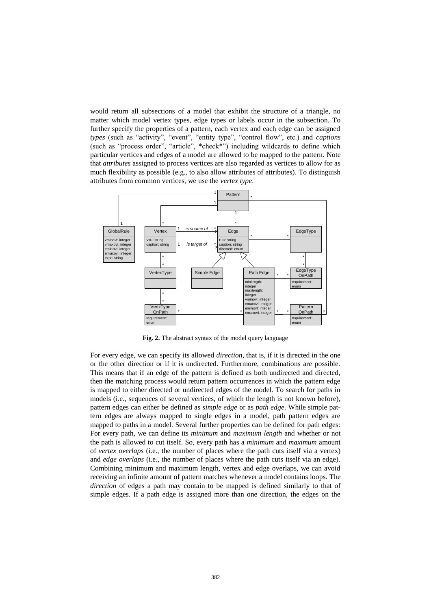would return all subsections of a model that exhibit the structure of a triangle, no matter which model vertex types, edge types or labels occur in the subsection. To further specify the properties of a pattern, each vertex and each edge can be assigned *types* (such as "activity", "event", "entity type", "control flow", etc.) and *captions* (such as "process order", "article", \*check\*") including wildcards to define which particular vertices and edges of a model are allowed to be mapped to the pattern. Note that *attributes* assigned to process vertices are also regarded as vertices to allow for as much flexibility as possible (e.g., to also allow attributes of attributes). To distinguish attributes from common vertices, we use the *vertex type*.



**Fig. 2.** The abstract syntax of the model query language

For every edge, we can specify its allowed *direction*, that is, if it is directed in the one or the other direction or if it is undirected. Furthermore, combinations are possible. This means that if an edge of the pattern is defined as both undirected and directed, then the matching process would return pattern occurrences in which the pattern edge is mapped to either directed or undirected edges of the model. To search for paths in models (i.e., sequences of several vertices, of which the length is not known before), pattern edges can either be defined as *simple edge* or as *path edge*. While simple pattern edges are always mapped to single edges in a model, path pattern edges are mapped to paths in a model. Several further properties can be defined for path edges: For every path, we can define its *minimum* and *maximum length* and whether or not the path is allowed to cut itself. So, every path has a *minimum* and *maximum* amount of *vertex overlaps* (i.e., the number of places where the path cuts itself via a vertex) and *edge overlaps* (i.e., the number of places where the path cuts itself via an edge). Combining minimum and maximum length, vertex and edge overlaps, we can avoid receiving an infinite amount of pattern matches whenever a model contains loops. The *direction* of edges a path may contain to be mapped is defined similarly to that of simple edges. If a path edge is assigned more than one direction, the edges on the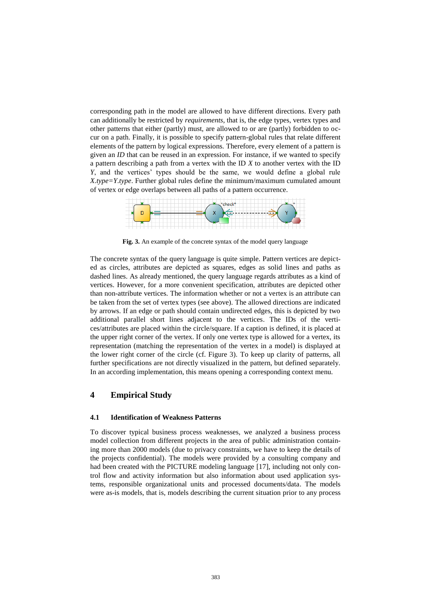corresponding path in the model are allowed to have different directions. Every path can additionally be restricted by *requirements*, that is, the edge types, vertex types and other patterns that either (partly) must, are allowed to or are (partly) forbidden to occur on a path. Finally, it is possible to specify pattern-global rules that relate different elements of the pattern by logical expressions. Therefore, every element of a pattern is given an *ID* that can be reused in an expression. For instance, if we wanted to specify a pattern describing a path from a vertex with the ID *X* to another vertex with the ID *Y*, and the vertices' types should be the same, we would define a global rule *X.type=Y.type*. Further global rules define the minimum/maximum cumulated amount of vertex or edge overlaps between all paths of a pattern occurrence.



**Fig. 3.** An example of the concrete syntax of the model query language

The concrete syntax of the query language is quite simple. Pattern vertices are depicted as circles, attributes are depicted as squares, edges as solid lines and paths as dashed lines. As already mentioned, the query language regards attributes as a kind of vertices. However, for a more convenient specification, attributes are depicted other than non-attribute vertices. The information whether or not a vertex is an attribute can be taken from the set of vertex types (see above). The allowed directions are indicated by arrows. If an edge or path should contain undirected edges, this is depicted by two additional parallel short lines adjacent to the vertices. The IDs of the vertices/attributes are placed within the circle/square. If a caption is defined, it is placed at the upper right corner of the vertex. If only one vertex type is allowed for a vertex, its representation (matching the representation of the vertex in a model) is displayed at the lower right corner of the circle (cf. Figure 3). To keep up clarity of patterns, all further specifications are not directly visualized in the pattern, but defined separately. In an according implementation, this means opening a corresponding context menu.

## **4 Empirical Study**

#### **4.1 Identification of Weakness Patterns**

To discover typical business process weaknesses, we analyzed a business process model collection from different projects in the area of public administration containing more than 2000 models (due to privacy constraints, we have to keep the details of the projects confidential). The models were provided by a consulting company and had been created with the PICTURE modeling language [17], including not only control flow and activity information but also information about used application systems, responsible organizational units and processed documents/data. The models were as-is models, that is, models describing the current situation prior to any process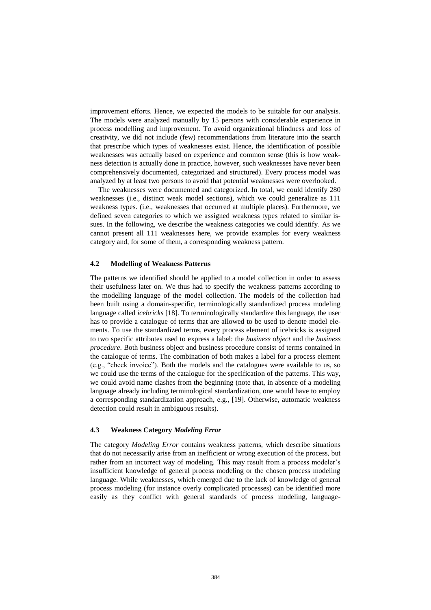improvement efforts. Hence, we expected the models to be suitable for our analysis. The models were analyzed manually by 15 persons with considerable experience in process modelling and improvement. To avoid organizational blindness and loss of creativity, we did not include (few) recommendations from literature into the search that prescribe which types of weaknesses exist. Hence, the identification of possible weaknesses was actually based on experience and common sense (this is how weakness detection is actually done in practice, however, such weaknesses have never been comprehensively documented, categorized and structured). Every process model was analyzed by at least two persons to avoid that potential weaknesses were overlooked.

The weaknesses were documented and categorized. In total, we could identify 280 weaknesses (i.e., distinct weak model sections), which we could generalize as 111 weakness types. (i.e., weaknesses that occurred at multiple places). Furthermore, we defined seven categories to which we assigned weakness types related to similar issues. In the following, we describe the weakness categories we could identify. As we cannot present all 111 weaknesses here, we provide examples for every weakness category and, for some of them, a corresponding weakness pattern.

#### **4.2 Modelling of Weakness Patterns**

The patterns we identified should be applied to a model collection in order to assess their usefulness later on. We thus had to specify the weakness patterns according to the modelling language of the model collection. The models of the collection had been built using a domain-specific, terminologically standardized process modeling language called *icebricks* [18]. To terminologically standardize this language, the user has to provide a catalogue of terms that are allowed to be used to denote model elements. To use the standardized terms, every process element of icebricks is assigned to two specific attributes used to express a label: the *business object* and the *business procedure*. Both business object and business procedure consist of terms contained in the catalogue of terms. The combination of both makes a label for a process element (e.g., "check invoice"). Both the models and the catalogues were available to us, so we could use the terms of the catalogue for the specification of the patterns. This way, we could avoid name clashes from the beginning (note that, in absence of a modeling language already including terminological standardization, one would have to employ a corresponding standardization approach, e.g., [19]. Otherwise, automatic weakness detection could result in ambiguous results).

#### **4.3 Weakness Category** *Modeling Error*

The category *Modeling Error* contains weakness patterns, which describe situations that do not necessarily arise from an inefficient or wrong execution of the process, but rather from an incorrect way of modeling. This may result from a process modeler's insufficient knowledge of general process modeling or the chosen process modeling language. While weaknesses, which emerged due to the lack of knowledge of general process modeling (for instance overly complicated processes) can be identified more easily as they conflict with general standards of process modeling, language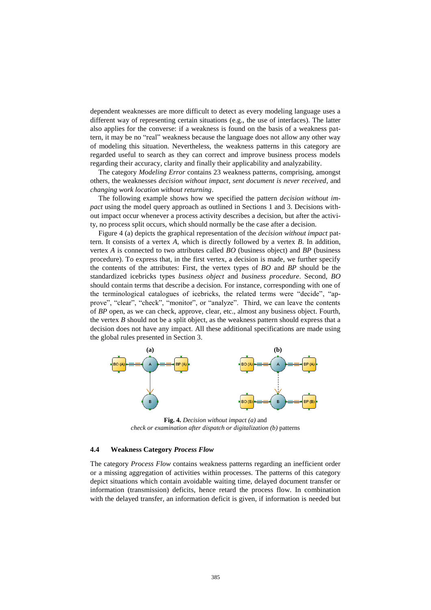dependent weaknesses are more difficult to detect as every modeling language uses a different way of representing certain situations (e.g., the use of interfaces). The latter also applies for the converse: if a weakness is found on the basis of a weakness pattern, it may be no "real" weakness because the language does not allow any other way of modeling this situation. Nevertheless, the weakness patterns in this category are regarded useful to search as they can correct and improve business process models regarding their accuracy, clarity and finally their applicability and analyzability.

The category *Modeling Error* contains 23 weakness patterns, comprising, amongst others, the weaknesses *decision without impact*, *sent document is never received*, and *changing work location without returning*.

The following example shows how we specified the pattern *decision without impact* using the model query approach as outlined in Sections 1 and 3. Decisions without impact occur whenever a process activity describes a decision, but after the activity, no process split occurs, which should normally be the case after a decision.

Figure 4 (a) depicts the graphical representation of the *decision without impact* pattern. It consists of a vertex *A*, which is directly followed by a vertex *B*. In addition, vertex *A* is connected to two attributes called *BO* (business object) and *BP* (business procedure). To express that, in the first vertex, a decision is made, we further specify the contents of the attributes: First, the vertex types of *BO* and *BP* should be the standardized icebricks types *business object* and *business procedure*. Second, *BO*  should contain terms that describe a decision. For instance, corresponding with one of the terminological catalogues of icebricks, the related terms were "decide", "approve", "clear", "check", "monitor", or "analyze". Third, we can leave the contents of *BP* open, as we can check, approve, clear, etc., almost any business object. Fourth, the vertex *B* should not be a split object, as the weakness pattern should express that a decision does not have any impact. All these additional specifications are made using the global rules presented in Section 3.



**Fig. 4.** *Decision without impact (a)* and *check or examination after dispatch or digitalization (b)* patterns

#### **4.4 Weakness Category** *Process Flow*

The category *Process Flow* contains weakness patterns regarding an inefficient order or a missing aggregation of activities within processes. The patterns of this category depict situations which contain avoidable waiting time, delayed document transfer or information (transmission) deficits, hence retard the process flow. In combination with the delayed transfer, an information deficit is given, if information is needed but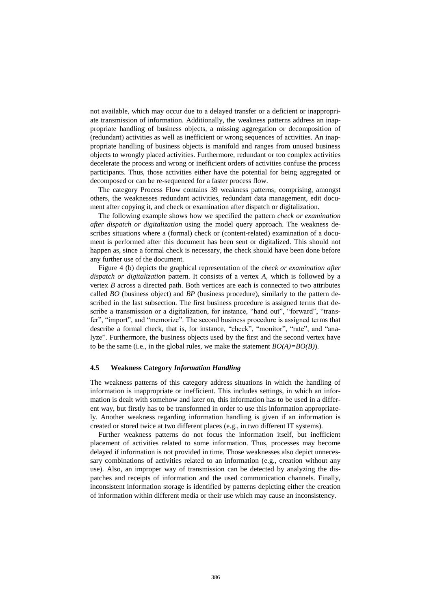not available, which may occur due to a delayed transfer or a deficient or inappropriate transmission of information. Additionally, the weakness patterns address an inappropriate handling of business objects, a missing aggregation or decomposition of (redundant) activities as well as inefficient or wrong sequences of activities. An inappropriate handling of business objects is manifold and ranges from unused business objects to wrongly placed activities. Furthermore, redundant or too complex activities decelerate the process and wrong or inefficient orders of activities confuse the process participants. Thus, those activities either have the potential for being aggregated or decomposed or can be re-sequenced for a faster process flow.

The category Process Flow contains 39 weakness patterns, comprising, amongst others, the weaknesses redundant activities, redundant data management, edit document after copying it, and check or examination after dispatch or digitalization.

The following example shows how we specified the pattern *check or examination after dispatch or digitalization* using the model query approach. The weakness describes situations where a (formal) check or (content-related) examination of a document is performed after this document has been sent or digitalized. This should not happen as, since a formal check is necessary, the check should have been done before any further use of the document.

Figure 4 (b) depicts the graphical representation of the *check or examination after dispatch or digitalization* pattern. It consists of a vertex *A*, which is followed by a vertex *B* across a directed path. Both vertices are each is connected to two attributes called *BO* (business object) and *BP* (business procedure), similarly to the pattern described in the last subsection. The first business procedure is assigned terms that describe a transmission or a digitalization, for instance, "hand out", "forward", "transfer", "import", and "memorize". The second business procedure is assigned terms that describe a formal check, that is, for instance, "check", "monitor", "rate", and "analyze". Furthermore, the business objects used by the first and the second vertex have to be the same (i.e., in the global rules, we make the statement *BO(A)=BO(B)*).

#### **4.5 Weakness Category** *Information Handling*

The weakness patterns of this category address situations in which the handling of information is inappropriate or inefficient. This includes settings, in which an information is dealt with somehow and later on, this information has to be used in a different way, but firstly has to be transformed in order to use this information appropriately. Another weakness regarding information handling is given if an information is created or stored twice at two different places (e.g., in two different IT systems).

Further weakness patterns do not focus the information itself, but inefficient placement of activities related to some information. Thus, processes may become delayed if information is not provided in time. Those weaknesses also depict unnecessary combinations of activities related to an information (e.g., creation without any use). Also, an improper way of transmission can be detected by analyzing the dispatches and receipts of information and the used communication channels. Finally, inconsistent information storage is identified by patterns depicting either the creation of information within different media or their use which may cause an inconsistency.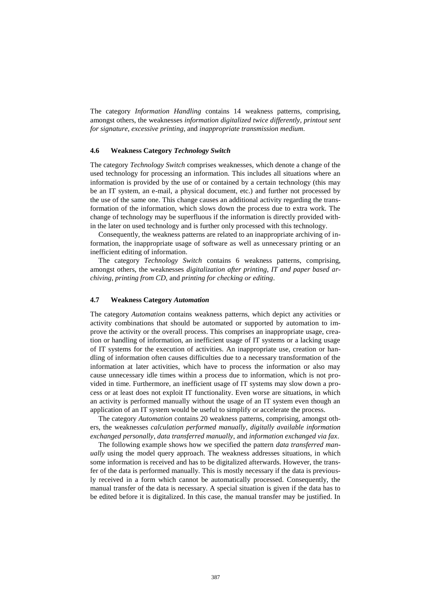The category *Information Handling* contains 14 weakness patterns, comprising, amongst others, the weaknesses *information digitalized twice differently*, *printout sent for signature*, *excessive printing*, and *inappropriate transmission medium*.

#### **4.6 Weakness Category** *Technology Switch*

The category *Technology Switch* comprises weaknesses, which denote a change of the used technology for processing an information. This includes all situations where an information is provided by the use of or contained by a certain technology (this may be an IT system, an e-mail, a physical document, etc.) and further not processed by the use of the same one. This change causes an additional activity regarding the transformation of the information, which slows down the process due to extra work. The change of technology may be superfluous if the information is directly provided within the later on used technology and is further only processed with this technology.

Consequently, the weakness patterns are related to an inappropriate archiving of information, the inappropriate usage of software as well as unnecessary printing or an inefficient editing of information.

The category *Technology Switch* contains 6 weakness patterns, comprising, amongst others, the weaknesses *digitalization after printing*, *IT and paper based archiving*, *printing from CD*, and *printing for checking or editing*.

#### **4.7 Weakness Category** *Automation*

The category *Automation* contains weakness patterns, which depict any activities or activity combinations that should be automated or supported by automation to improve the activity or the overall process. This comprises an inappropriate usage, creation or handling of information, an inefficient usage of IT systems or a lacking usage of IT systems for the execution of activities. An inappropriate use, creation or handling of information often causes difficulties due to a necessary transformation of the information at later activities, which have to process the information or also may cause unnecessary idle times within a process due to information, which is not provided in time. Furthermore, an inefficient usage of IT systems may slow down a process or at least does not exploit IT functionality. Even worse are situations, in which an activity is performed manually without the usage of an IT system even though an application of an IT system would be useful to simplify or accelerate the process.

The category *Automation* contains 20 weakness patterns, comprising, amongst others, the weaknesses *calculation performed manually*, *digitally available information exchanged personally*, *data transferred manually*, and *information exchanged via fax*.

The following example shows how we specified the pattern *data transferred manually* using the model query approach. The weakness addresses situations, in which some information is received and has to be digitalized afterwards. However, the transfer of the data is performed manually. This is mostly necessary if the data is previously received in a form which cannot be automatically processed. Consequently, the manual transfer of the data is necessary. A special situation is given if the data has to be edited before it is digitalized. In this case, the manual transfer may be justified. In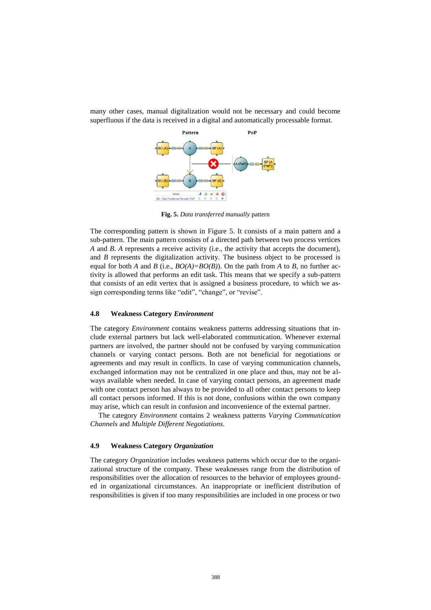

many other cases, manual digitalization would not be necessary and could become superfluous if the data is received in a digital and automatically processable format.

**Fig. 5.** *Data transferred manually* pattern

The corresponding pattern is shown in Figure 5. It consists of a main pattern and a sub-pattern. The main pattern consists of a directed path between two process vertices *A* and *B*. *A* represents a receive activity (i.e., the activity that accepts the document), and *B* represents the digitalization activity. The business object to be processed is equal for both *A* and *B* (i.e.,  $BO(A)=BO(B)$ ). On the path from *A* to *B*, no further activity is allowed that performs an edit task. This means that we specify a sub-pattern that consists of an edit vertex that is assigned a business procedure, to which we assign corresponding terms like "edit", "change", or "revise".

## **4.8 Weakness Category** *Environment*

The category *Environment* contains weakness patterns addressing situations that include external partners but lack well-elaborated communication. Whenever external partners are involved, the partner should not be confused by varying communication channels or varying contact persons. Both are not beneficial for negotiations or agreements and may result in conflicts. In case of varying communication channels, exchanged information may not be centralized in one place and thus, may not be always available when needed. In case of varying contact persons, an agreement made with one contact person has always to be provided to all other contact persons to keep all contact persons informed. If this is not done, confusions within the own company may arise, which can result in confusion and inconvenience of the external partner.

The category *Environment* contains 2 weakness patterns *Varying Communication Channels* and *Multiple Different Negotiations*.

#### **4.9 Weakness Category** *Organization*

The category *Organization* includes weakness patterns which occur due to the organizational structure of the company. These weaknesses range from the distribution of responsibilities over the allocation of resources to the behavior of employees grounded in organizational circumstances. An inappropriate or inefficient distribution of responsibilities is given if too many responsibilities are included in one process or two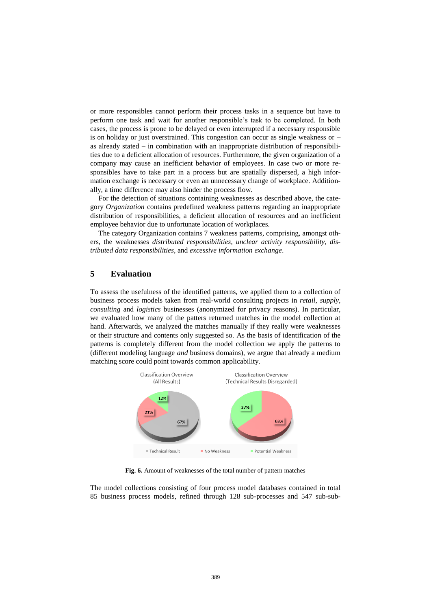or more responsibles cannot perform their process tasks in a sequence but have to perform one task and wait for another responsible's task to be completed. In both cases, the process is prone to be delayed or even interrupted if a necessary responsible is on holiday or just overstrained. This congestion can occur as single weakness or – as already stated – in combination with an inappropriate distribution of responsibilities due to a deficient allocation of resources. Furthermore, the given organization of a company may cause an inefficient behavior of employees. In case two or more responsibles have to take part in a process but are spatially dispersed, a high information exchange is necessary or even an unnecessary change of workplace. Additionally, a time difference may also hinder the process flow.

For the detection of situations containing weaknesses as described above, the category *Organization* contains predefined weakness patterns regarding an inappropriate distribution of responsibilities, a deficient allocation of resources and an inefficient employee behavior due to unfortunate location of workplaces.

The category Organization contains 7 weakness patterns, comprising, amongst others, the weaknesses *distributed responsibilities*, *unclear activity responsibility*, *distributed data responsibilities*, and *excessive information exchange*.

## **5 Evaluation**

To assess the usefulness of the identified patterns, we applied them to a collection of business process models taken from real-world consulting projects in *retail*, *supply*, *consulting* and *logistics* businesses (anonymized for privacy reasons). In particular, we evaluated how many of the patters returned matches in the model collection at hand. Afterwards, we analyzed the matches manually if they really were weaknesses or their structure and contents only suggested so. As the basis of identification of the patterns is completely different from the model collection we apply the patterns to (different modeling language *and* business domains), we argue that already a medium matching score could point towards common applicability.



**Fig. 6.** Amount of weaknesses of the total number of pattern matches

The model collections consisting of four process model databases contained in total 85 business process models, refined through 128 sub-processes and 547 sub-sub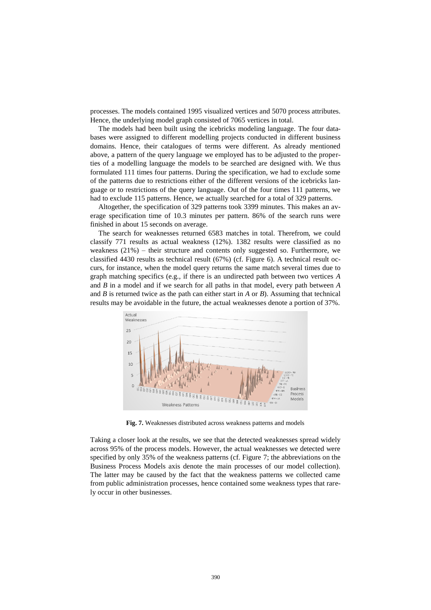processes. The models contained 1995 visualized vertices and 5070 process attributes. Hence, the underlying model graph consisted of 7065 vertices in total.

The models had been built using the icebricks modeling language. The four databases were assigned to different modelling projects conducted in different business domains. Hence, their catalogues of terms were different. As already mentioned above, a pattern of the query language we employed has to be adjusted to the properties of a modelling language the models to be searched are designed with. We thus formulated 111 times four patterns. During the specification, we had to exclude some of the patterns due to restrictions either of the different versions of the icebricks language or to restrictions of the query language. Out of the four times 111 patterns, we had to exclude 115 patterns. Hence, we actually searched for a total of 329 patterns.

Altogether, the specification of 329 patterns took 3399 minutes. This makes an average specification time of 10.3 minutes per pattern. 86% of the search runs were finished in about 15 seconds on average.

The search for weaknesses returned 6583 matches in total. Therefrom, we could classify 771 results as actual weakness (12%). 1382 results were classified as no weakness (21%) – their structure and contents only suggested so. Furthermore, we classified 4430 results as technical result  $(67%)$  (cf. Figure 6). A technical result occurs, for instance, when the model query returns the same match several times due to graph matching specifics (e.g., if there is an undirected path between two vertices *A* and *B* in a model and if we search for all paths in that model, every path between *A* and *B* is returned twice as the path can either start in *A* or *B*). Assuming that technical results may be avoidable in the future, the actual weaknesses denote a portion of 37%.



**Fig. 7.** Weaknesses distributed across weakness patterns and models

Taking a closer look at the results, we see that the detected weaknesses spread widely across 95% of the process models. However, the actual weaknesses we detected were specified by only 35% of the weakness patterns (cf. Figure 7; the abbreviations on the Business Process Models axis denote the main processes of our model collection). The latter may be caused by the fact that the weakness patterns we collected came from public administration processes, hence contained some weakness types that rarely occur in other businesses.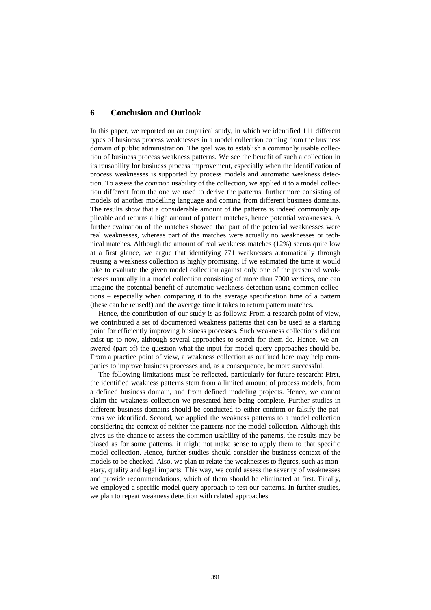## **6 Conclusion and Outlook**

In this paper, we reported on an empirical study, in which we identified 111 different types of business process weaknesses in a model collection coming from the business domain of public administration. The goal was to establish a commonly usable collection of business process weakness patterns. We see the benefit of such a collection in its reusability for business process improvement, especially when the identification of process weaknesses is supported by process models and automatic weakness detection. To assess the *common* usability of the collection, we applied it to a model collection different from the one we used to derive the patterns, furthermore consisting of models of another modelling language and coming from different business domains. The results show that a considerable amount of the patterns is indeed commonly applicable and returns a high amount of pattern matches, hence potential weaknesses. A further evaluation of the matches showed that part of the potential weaknesses were real weaknesses, whereas part of the matches were actually no weaknesses or technical matches. Although the amount of real weakness matches (12%) seems quite low at a first glance, we argue that identifying 771 weaknesses automatically through reusing a weakness collection is highly promising. If we estimated the time it would take to evaluate the given model collection against only one of the presented weaknesses manually in a model collection consisting of more than 7000 vertices, one can imagine the potential benefit of automatic weakness detection using common collections – especially when comparing it to the average specification time of a pattern (these can be reused!) and the average time it takes to return pattern matches.

Hence, the contribution of our study is as follows: From a research point of view, we contributed a set of documented weakness patterns that can be used as a starting point for efficiently improving business processes. Such weakness collections did not exist up to now, although several approaches to search for them do. Hence, we answered (part of) the question what the input for model query approaches should be. From a practice point of view, a weakness collection as outlined here may help companies to improve business processes and, as a consequence, be more successful.

The following limitations must be reflected, particularly for future research: First, the identified weakness patterns stem from a limited amount of process models, from a defined business domain, and from defined modeling projects. Hence, we cannot claim the weakness collection we presented here being complete. Further studies in different business domains should be conducted to either confirm or falsify the patterns we identified. Second, we applied the weakness patterns to a model collection considering the context of neither the patterns nor the model collection. Although this gives us the chance to assess the common usability of the patterns, the results may be biased as for some patterns, it might not make sense to apply them to that specific model collection. Hence, further studies should consider the business context of the models to be checked. Also, we plan to relate the weaknesses to figures, such as monetary, quality and legal impacts. This way, we could assess the severity of weaknesses and provide recommendations, which of them should be eliminated at first. Finally, we employed a specific model query approach to test our patterns. In further studies, we plan to repeat weakness detection with related approaches.